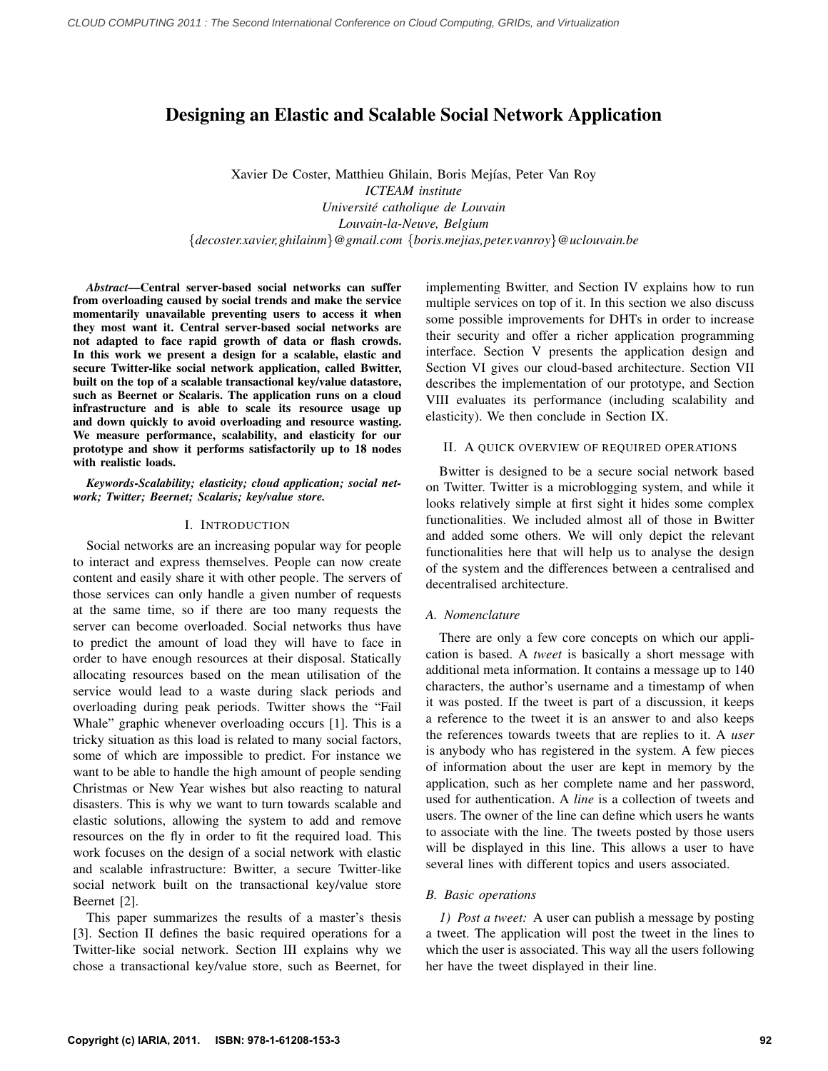# Designing an Elastic and Scalable Social Network Application

Xavier De Coster, Matthieu Ghilain, Boris Mejías, Peter Van Roy *ICTEAM institute Universite catholique de Louvain ´ Louvain-la-Neuve, Belgium* {*decoster.xavier,ghilainm*}*@gmail.com* {*boris.mejias,peter.vanroy*}*@uclouvain.be*

*Abstract*—Central server-based social networks can suffer from overloading caused by social trends and make the service momentarily unavailable preventing users to access it when they most want it. Central server-based social networks are not adapted to face rapid growth of data or flash crowds. In this work we present a design for a scalable, elastic and secure Twitter-like social network application, called Bwitter, built on the top of a scalable transactional key/value datastore, such as Beernet or Scalaris. The application runs on a cloud infrastructure and is able to scale its resource usage up and down quickly to avoid overloading and resource wasting. We measure performance, scalability, and elasticity for our prototype and show it performs satisfactorily up to 18 nodes with realistic loads.

*Keywords*-*Scalability; elasticity; cloud application; social network; Twitter; Beernet; Scalaris; key/value store.*

### I. INTRODUCTION

Social networks are an increasing popular way for people to interact and express themselves. People can now create content and easily share it with other people. The servers of those services can only handle a given number of requests at the same time, so if there are too many requests the server can become overloaded. Social networks thus have to predict the amount of load they will have to face in order to have enough resources at their disposal. Statically allocating resources based on the mean utilisation of the service would lead to a waste during slack periods and overloading during peak periods. Twitter shows the "Fail Whale" graphic whenever overloading occurs [1]. This is a tricky situation as this load is related to many social factors, some of which are impossible to predict. For instance we want to be able to handle the high amount of people sending Christmas or New Year wishes but also reacting to natural disasters. This is why we want to turn towards scalable and elastic solutions, allowing the system to add and remove resources on the fly in order to fit the required load. This work focuses on the design of a social network with elastic and scalable infrastructure: Bwitter, a secure Twitter-like social network built on the transactional key/value store Beernet [2].

This paper summarizes the results of a master's thesis [3]. Section II defines the basic required operations for a Twitter-like social network. Section III explains why we chose a transactional key/value store, such as Beernet, for implementing Bwitter, and Section IV explains how to run multiple services on top of it. In this section we also discuss some possible improvements for DHTs in order to increase their security and offer a richer application programming interface. Section V presents the application design and Section VI gives our cloud-based architecture. Section VII describes the implementation of our prototype, and Section VIII evaluates its performance (including scalability and elasticity). We then conclude in Section IX.

### II. A QUICK OVERVIEW OF REQUIRED OPERATIONS

Bwitter is designed to be a secure social network based on Twitter. Twitter is a microblogging system, and while it looks relatively simple at first sight it hides some complex functionalities. We included almost all of those in Bwitter and added some others. We will only depict the relevant functionalities here that will help us to analyse the design of the system and the differences between a centralised and decentralised architecture.

## *A. Nomenclature*

There are only a few core concepts on which our application is based. A *tweet* is basically a short message with additional meta information. It contains a message up to 140 characters, the author's username and a timestamp of when it was posted. If the tweet is part of a discussion, it keeps a reference to the tweet it is an answer to and also keeps the references towards tweets that are replies to it. A *user* is anybody who has registered in the system. A few pieces of information about the user are kept in memory by the application, such as her complete name and her password, used for authentication. A *line* is a collection of tweets and users. The owner of the line can define which users he wants to associate with the line. The tweets posted by those users will be displayed in this line. This allows a user to have several lines with different topics and users associated.

#### *B. Basic operations*

*1) Post a tweet:* A user can publish a message by posting a tweet. The application will post the tweet in the lines to which the user is associated. This way all the users following her have the tweet displayed in their line.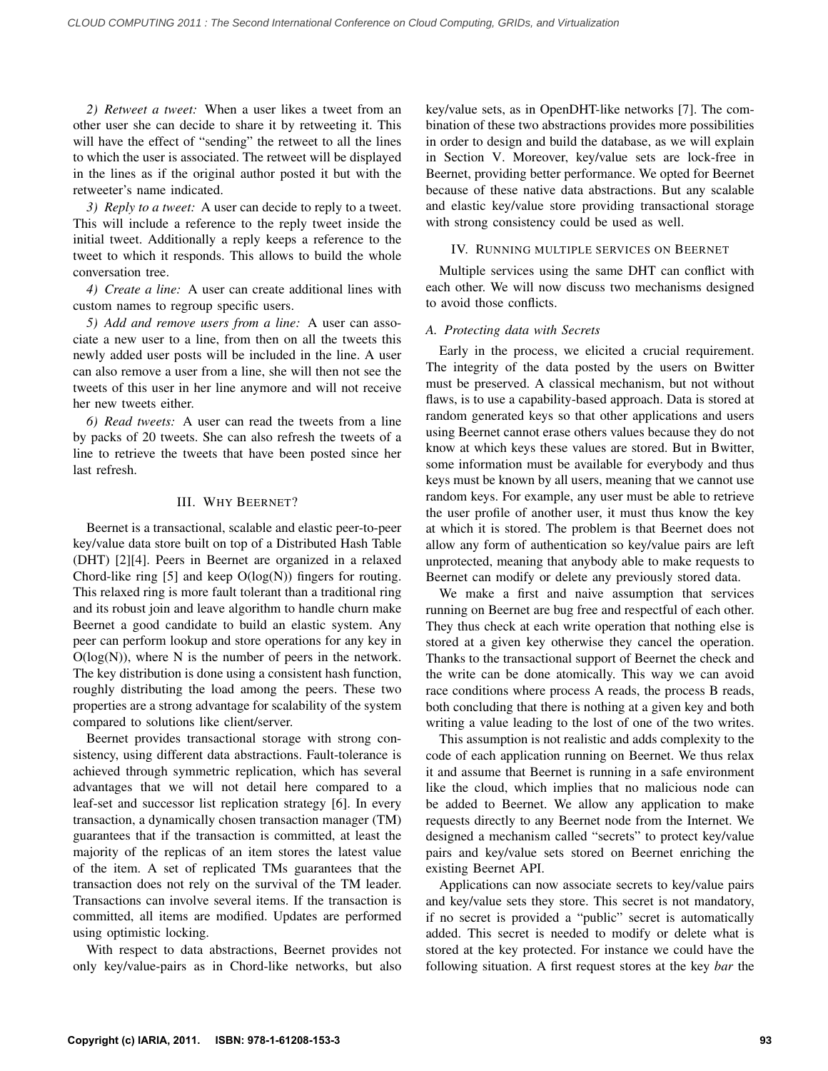*2) Retweet a tweet:* When a user likes a tweet from an other user she can decide to share it by retweeting it. This will have the effect of "sending" the retweet to all the lines to which the user is associated. The retweet will be displayed in the lines as if the original author posted it but with the retweeter's name indicated.

*3) Reply to a tweet:* A user can decide to reply to a tweet. This will include a reference to the reply tweet inside the initial tweet. Additionally a reply keeps a reference to the tweet to which it responds. This allows to build the whole conversation tree.

*4) Create a line:* A user can create additional lines with custom names to regroup specific users.

*5) Add and remove users from a line:* A user can associate a new user to a line, from then on all the tweets this newly added user posts will be included in the line. A user can also remove a user from a line, she will then not see the tweets of this user in her line anymore and will not receive her new tweets either.

*6) Read tweets:* A user can read the tweets from a line by packs of 20 tweets. She can also refresh the tweets of a line to retrieve the tweets that have been posted since her last refresh.

### III. WHY BEERNET?

Beernet is a transactional, scalable and elastic peer-to-peer key/value data store built on top of a Distributed Hash Table (DHT) [2][4]. Peers in Beernet are organized in a relaxed Chord-like ring [5] and keep  $O(log(N))$  fingers for routing. This relaxed ring is more fault tolerant than a traditional ring and its robust join and leave algorithm to handle churn make Beernet a good candidate to build an elastic system. Any peer can perform lookup and store operations for any key in  $O(log(N))$ , where N is the number of peers in the network. The key distribution is done using a consistent hash function, roughly distributing the load among the peers. These two properties are a strong advantage for scalability of the system compared to solutions like client/server.

Beernet provides transactional storage with strong consistency, using different data abstractions. Fault-tolerance is achieved through symmetric replication, which has several advantages that we will not detail here compared to a leaf-set and successor list replication strategy [6]. In every transaction, a dynamically chosen transaction manager (TM) guarantees that if the transaction is committed, at least the majority of the replicas of an item stores the latest value of the item. A set of replicated TMs guarantees that the transaction does not rely on the survival of the TM leader. Transactions can involve several items. If the transaction is committed, all items are modified. Updates are performed using optimistic locking.

With respect to data abstractions, Beernet provides not only key/value-pairs as in Chord-like networks, but also key/value sets, as in OpenDHT-like networks [7]. The combination of these two abstractions provides more possibilities in order to design and build the database, as we will explain in Section V. Moreover, key/value sets are lock-free in Beernet, providing better performance. We opted for Beernet because of these native data abstractions. But any scalable and elastic key/value store providing transactional storage with strong consistency could be used as well.

### IV. RUNNING MULTIPLE SERVICES ON BEERNET

Multiple services using the same DHT can conflict with each other. We will now discuss two mechanisms designed to avoid those conflicts.

### *A. Protecting data with Secrets*

Early in the process, we elicited a crucial requirement. The integrity of the data posted by the users on Bwitter must be preserved. A classical mechanism, but not without flaws, is to use a capability-based approach. Data is stored at random generated keys so that other applications and users using Beernet cannot erase others values because they do not know at which keys these values are stored. But in Bwitter, some information must be available for everybody and thus keys must be known by all users, meaning that we cannot use random keys. For example, any user must be able to retrieve the user profile of another user, it must thus know the key at which it is stored. The problem is that Beernet does not allow any form of authentication so key/value pairs are left unprotected, meaning that anybody able to make requests to Beernet can modify or delete any previously stored data.

We make a first and naive assumption that services running on Beernet are bug free and respectful of each other. They thus check at each write operation that nothing else is stored at a given key otherwise they cancel the operation. Thanks to the transactional support of Beernet the check and the write can be done atomically. This way we can avoid race conditions where process A reads, the process B reads, both concluding that there is nothing at a given key and both writing a value leading to the lost of one of the two writes.

This assumption is not realistic and adds complexity to the code of each application running on Beernet. We thus relax it and assume that Beernet is running in a safe environment like the cloud, which implies that no malicious node can be added to Beernet. We allow any application to make requests directly to any Beernet node from the Internet. We designed a mechanism called "secrets" to protect key/value pairs and key/value sets stored on Beernet enriching the existing Beernet API.

Applications can now associate secrets to key/value pairs and key/value sets they store. This secret is not mandatory, if no secret is provided a "public" secret is automatically added. This secret is needed to modify or delete what is stored at the key protected. For instance we could have the following situation. A first request stores at the key *bar* the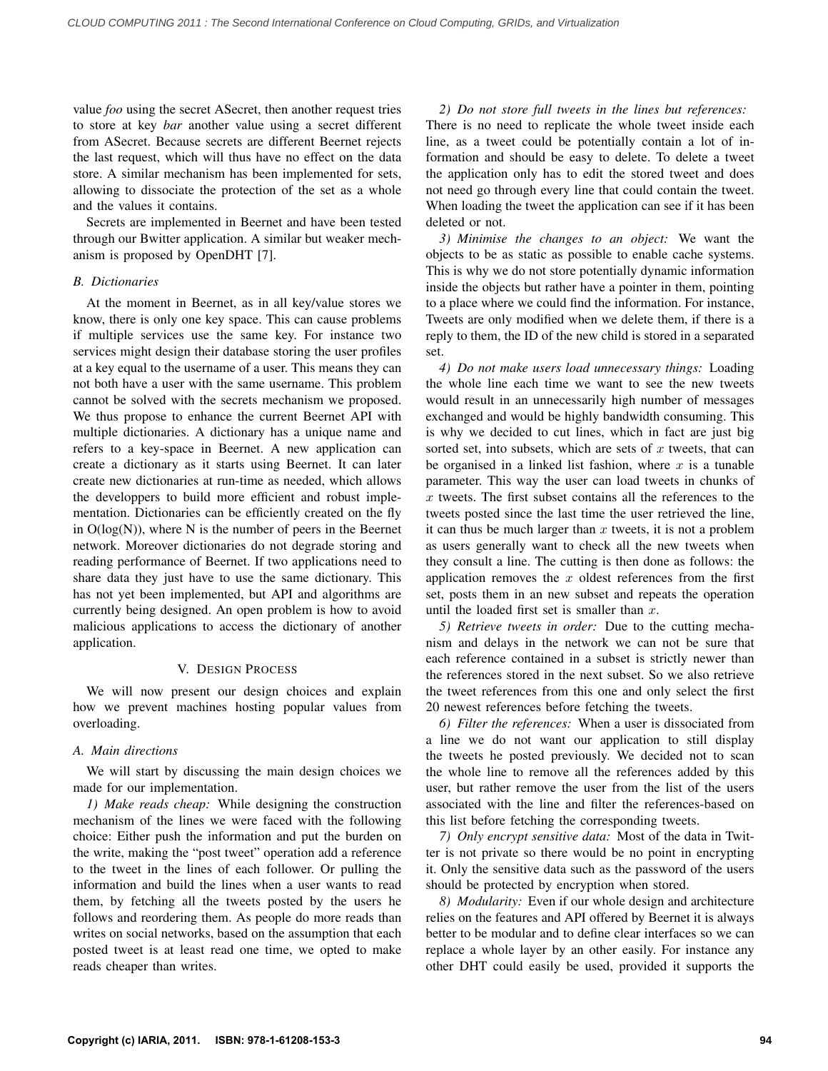value *foo* using the secret ASecret, then another request tries to store at key *bar* another value using a secret different from ASecret. Because secrets are different Beernet rejects the last request, which will thus have no effect on the data store. A similar mechanism has been implemented for sets, allowing to dissociate the protection of the set as a whole and the values it contains.

Secrets are implemented in Beernet and have been tested through our Bwitter application. A similar but weaker mechanism is proposed by OpenDHT [7].

### *B. Dictionaries*

At the moment in Beernet, as in all key/value stores we know, there is only one key space. This can cause problems if multiple services use the same key. For instance two services might design their database storing the user profiles at a key equal to the username of a user. This means they can not both have a user with the same username. This problem cannot be solved with the secrets mechanism we proposed. We thus propose to enhance the current Beernet API with multiple dictionaries. A dictionary has a unique name and refers to a key-space in Beernet. A new application can create a dictionary as it starts using Beernet. It can later create new dictionaries at run-time as needed, which allows the developpers to build more efficient and robust implementation. Dictionaries can be efficiently created on the fly in  $O(log(N))$ , where N is the number of peers in the Beernet network. Moreover dictionaries do not degrade storing and reading performance of Beernet. If two applications need to share data they just have to use the same dictionary. This has not yet been implemented, but API and algorithms are currently being designed. An open problem is how to avoid malicious applications to access the dictionary of another application.

### V. DESIGN PROCESS

We will now present our design choices and explain how we prevent machines hosting popular values from overloading.

### *A. Main directions*

We will start by discussing the main design choices we made for our implementation.

*1) Make reads cheap:* While designing the construction mechanism of the lines we were faced with the following choice: Either push the information and put the burden on the write, making the "post tweet" operation add a reference to the tweet in the lines of each follower. Or pulling the information and build the lines when a user wants to read them, by fetching all the tweets posted by the users he follows and reordering them. As people do more reads than writes on social networks, based on the assumption that each posted tweet is at least read one time, we opted to make reads cheaper than writes.

*2) Do not store full tweets in the lines but references:* There is no need to replicate the whole tweet inside each line, as a tweet could be potentially contain a lot of information and should be easy to delete. To delete a tweet the application only has to edit the stored tweet and does not need go through every line that could contain the tweet. When loading the tweet the application can see if it has been deleted or not.

*3) Minimise the changes to an object:* We want the objects to be as static as possible to enable cache systems. This is why we do not store potentially dynamic information inside the objects but rather have a pointer in them, pointing to a place where we could find the information. For instance, Tweets are only modified when we delete them, if there is a reply to them, the ID of the new child is stored in a separated set.

*4) Do not make users load unnecessary things:* Loading the whole line each time we want to see the new tweets would result in an unnecessarily high number of messages exchanged and would be highly bandwidth consuming. This is why we decided to cut lines, which in fact are just big sorted set, into subsets, which are sets of  $x$  tweets, that can be organised in a linked list fashion, where  $x$  is a tunable parameter. This way the user can load tweets in chunks of  $x$  tweets. The first subset contains all the references to the tweets posted since the last time the user retrieved the line, it can thus be much larger than  $x$  tweets, it is not a problem as users generally want to check all the new tweets when they consult a line. The cutting is then done as follows: the application removes the  $x$  oldest references from the first set, posts them in an new subset and repeats the operation until the loaded first set is smaller than  $x$ .

*5) Retrieve tweets in order:* Due to the cutting mechanism and delays in the network we can not be sure that each reference contained in a subset is strictly newer than the references stored in the next subset. So we also retrieve the tweet references from this one and only select the first 20 newest references before fetching the tweets.

*6) Filter the references:* When a user is dissociated from a line we do not want our application to still display the tweets he posted previously. We decided not to scan the whole line to remove all the references added by this user, but rather remove the user from the list of the users associated with the line and filter the references-based on this list before fetching the corresponding tweets.

*7) Only encrypt sensitive data:* Most of the data in Twitter is not private so there would be no point in encrypting it. Only the sensitive data such as the password of the users should be protected by encryption when stored.

*8) Modularity:* Even if our whole design and architecture relies on the features and API offered by Beernet it is always better to be modular and to define clear interfaces so we can replace a whole layer by an other easily. For instance any other DHT could easily be used, provided it supports the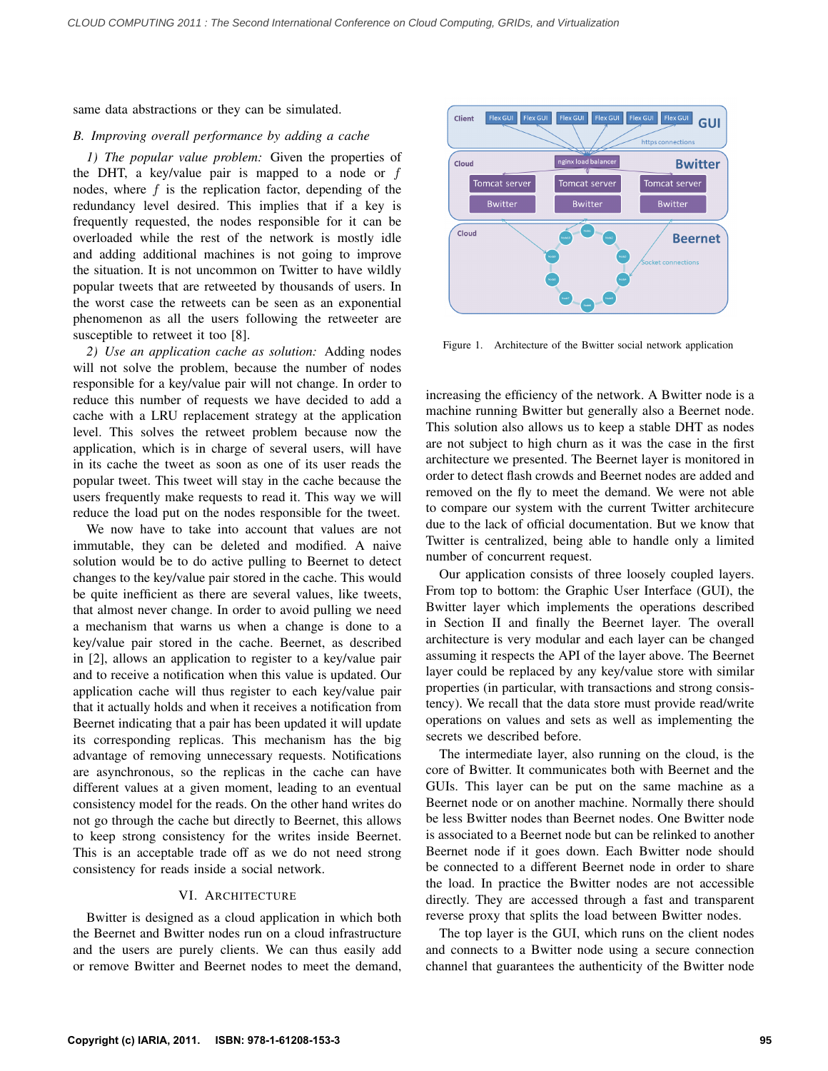same data abstractions or they can be simulated.

### *B. Improving overall performance by adding a cache*

*1) The popular value problem:* Given the properties of the DHT, a key/value pair is mapped to a node or  $f$ nodes, where  $f$  is the replication factor, depending of the redundancy level desired. This implies that if a key is frequently requested, the nodes responsible for it can be overloaded while the rest of the network is mostly idle and adding additional machines is not going to improve the situation. It is not uncommon on Twitter to have wildly popular tweets that are retweeted by thousands of users. In the worst case the retweets can be seen as an exponential phenomenon as all the users following the retweeter are susceptible to retweet it too [8].

*2) Use an application cache as solution:* Adding nodes will not solve the problem, because the number of nodes responsible for a key/value pair will not change. In order to reduce this number of requests we have decided to add a cache with a LRU replacement strategy at the application level. This solves the retweet problem because now the application, which is in charge of several users, will have in its cache the tweet as soon as one of its user reads the popular tweet. This tweet will stay in the cache because the users frequently make requests to read it. This way we will reduce the load put on the nodes responsible for the tweet.

We now have to take into account that values are not immutable, they can be deleted and modified. A naive solution would be to do active pulling to Beernet to detect changes to the key/value pair stored in the cache. This would be quite inefficient as there are several values, like tweets, that almost never change. In order to avoid pulling we need a mechanism that warns us when a change is done to a key/value pair stored in the cache. Beernet, as described in [2], allows an application to register to a key/value pair and to receive a notification when this value is updated. Our application cache will thus register to each key/value pair that it actually holds and when it receives a notification from Beernet indicating that a pair has been updated it will update its corresponding replicas. This mechanism has the big advantage of removing unnecessary requests. Notifications are asynchronous, so the replicas in the cache can have different values at a given moment, leading to an eventual consistency model for the reads. On the other hand writes do not go through the cache but directly to Beernet, this allows to keep strong consistency for the writes inside Beernet. This is an acceptable trade off as we do not need strong consistency for reads inside a social network.

# VI. ARCHITECTURE

Bwitter is designed as a cloud application in which both the Beernet and Bwitter nodes run on a cloud infrastructure and the users are purely clients. We can thus easily add or remove Bwitter and Beernet nodes to meet the demand,



Figure 1. Architecture of the Bwitter social network application

increasing the efficiency of the network. A Bwitter node is a machine running Bwitter but generally also a Beernet node. This solution also allows us to keep a stable DHT as nodes are not subject to high churn as it was the case in the first architecture we presented. The Beernet layer is monitored in order to detect flash crowds and Beernet nodes are added and removed on the fly to meet the demand. We were not able to compare our system with the current Twitter architecure due to the lack of official documentation. But we know that Twitter is centralized, being able to handle only a limited number of concurrent request.

Our application consists of three loosely coupled layers. From top to bottom: the Graphic User Interface (GUI), the Bwitter layer which implements the operations described in Section II and finally the Beernet layer. The overall architecture is very modular and each layer can be changed assuming it respects the API of the layer above. The Beernet layer could be replaced by any key/value store with similar properties (in particular, with transactions and strong consistency). We recall that the data store must provide read/write operations on values and sets as well as implementing the secrets we described before.

The intermediate layer, also running on the cloud, is the core of Bwitter. It communicates both with Beernet and the GUIs. This layer can be put on the same machine as a Beernet node or on another machine. Normally there should be less Bwitter nodes than Beernet nodes. One Bwitter node is associated to a Beernet node but can be relinked to another Beernet node if it goes down. Each Bwitter node should be connected to a different Beernet node in order to share the load. In practice the Bwitter nodes are not accessible directly. They are accessed through a fast and transparent reverse proxy that splits the load between Bwitter nodes.

The top layer is the GUI, which runs on the client nodes and connects to a Bwitter node using a secure connection channel that guarantees the authenticity of the Bwitter node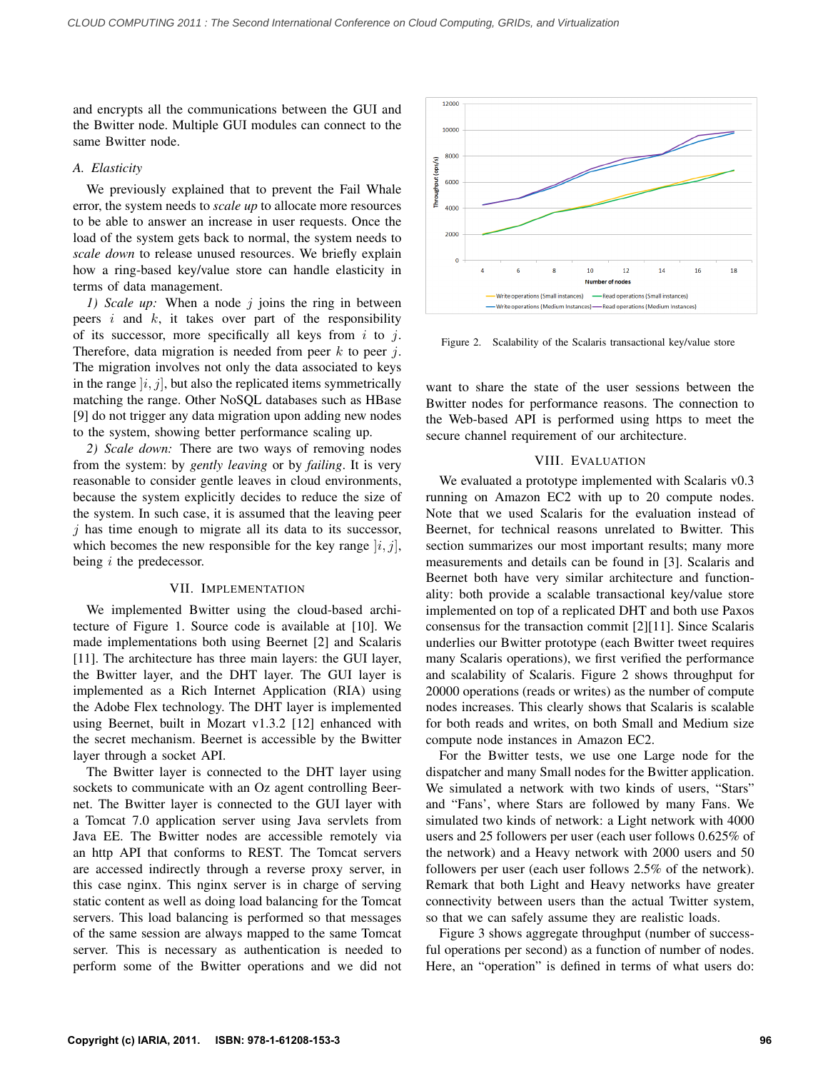and encrypts all the communications between the GUI and the Bwitter node. Multiple GUI modules can connect to the same Bwitter node.

### *A. Elasticity*

We previously explained that to prevent the Fail Whale error, the system needs to *scale up* to allocate more resources to be able to answer an increase in user requests. Once the load of the system gets back to normal, the system needs to *scale down* to release unused resources. We briefly explain how a ring-based key/value store can handle elasticity in terms of data management.

*1)* Scale up: When a node *j* joins the ring in between peers  $i$  and  $k$ , it takes over part of the responsibility of its successor, more specifically all keys from  $i$  to  $j$ . Therefore, data migration is needed from peer  $k$  to peer j. The migration involves not only the data associated to keys in the range  $|i, j|$ , but also the replicated items symmetrically matching the range. Other NoSQL databases such as HBase [9] do not trigger any data migration upon adding new nodes to the system, showing better performance scaling up.

*2) Scale down:* There are two ways of removing nodes from the system: by *gently leaving* or by *failing*. It is very reasonable to consider gentle leaves in cloud environments, because the system explicitly decides to reduce the size of the system. In such case, it is assumed that the leaving peer  $j$  has time enough to migrate all its data to its successor, which becomes the new responsible for the key range  $|i, j|$ , being  $i$  the predecessor.

#### VII. IMPLEMENTATION

We implemented Bwitter using the cloud-based architecture of Figure 1. Source code is available at [10]. We made implementations both using Beernet [2] and Scalaris [11]. The architecture has three main layers: the GUI layer, the Bwitter layer, and the DHT layer. The GUI layer is implemented as a Rich Internet Application (RIA) using the Adobe Flex technology. The DHT layer is implemented using Beernet, built in Mozart v1.3.2 [12] enhanced with the secret mechanism. Beernet is accessible by the Bwitter layer through a socket API.

The Bwitter layer is connected to the DHT layer using sockets to communicate with an Oz agent controlling Beernet. The Bwitter layer is connected to the GUI layer with a Tomcat 7.0 application server using Java servlets from Java EE. The Bwitter nodes are accessible remotely via an http API that conforms to REST. The Tomcat servers are accessed indirectly through a reverse proxy server, in this case nginx. This nginx server is in charge of serving static content as well as doing load balancing for the Tomcat servers. This load balancing is performed so that messages of the same session are always mapped to the same Tomcat server. This is necessary as authentication is needed to perform some of the Bwitter operations and we did not



Figure 2. Scalability of the Scalaris transactional key/value store

want to share the state of the user sessions between the Bwitter nodes for performance reasons. The connection to the Web-based API is performed using https to meet the secure channel requirement of our architecture.

#### VIII. EVALUATION

We evaluated a prototype implemented with Scalaris v0.3 running on Amazon EC2 with up to 20 compute nodes. Note that we used Scalaris for the evaluation instead of Beernet, for technical reasons unrelated to Bwitter. This section summarizes our most important results; many more measurements and details can be found in [3]. Scalaris and Beernet both have very similar architecture and functionality: both provide a scalable transactional key/value store implemented on top of a replicated DHT and both use Paxos consensus for the transaction commit [2][11]. Since Scalaris underlies our Bwitter prototype (each Bwitter tweet requires many Scalaris operations), we first verified the performance and scalability of Scalaris. Figure 2 shows throughput for 20000 operations (reads or writes) as the number of compute nodes increases. This clearly shows that Scalaris is scalable for both reads and writes, on both Small and Medium size compute node instances in Amazon EC2.

For the Bwitter tests, we use one Large node for the dispatcher and many Small nodes for the Bwitter application. We simulated a network with two kinds of users, "Stars" and "Fans', where Stars are followed by many Fans. We simulated two kinds of network: a Light network with 4000 users and 25 followers per user (each user follows 0.625% of the network) and a Heavy network with 2000 users and 50 followers per user (each user follows 2.5% of the network). Remark that both Light and Heavy networks have greater connectivity between users than the actual Twitter system, so that we can safely assume they are realistic loads.

Figure 3 shows aggregate throughput (number of successful operations per second) as a function of number of nodes. Here, an "operation" is defined in terms of what users do: